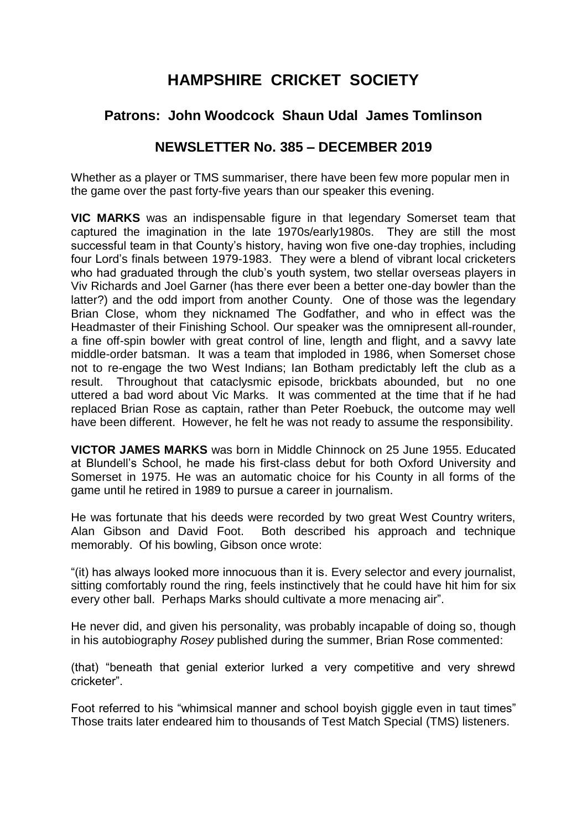## **HAMPSHIRE CRICKET SOCIETY**

## **Patrons: John Woodcock Shaun Udal James Tomlinson**

## **NEWSLETTER No. 385 – DECEMBER 2019**

Whether as a player or TMS summariser, there have been few more popular men in the game over the past forty-five years than our speaker this evening.

**VIC MARKS** was an indispensable figure in that legendary Somerset team that captured the imagination in the late 1970s/early1980s. They are still the most successful team in that County's history, having won five one-day trophies, including four Lord's finals between 1979-1983. They were a blend of vibrant local cricketers who had graduated through the club's youth system, two stellar overseas players in Viv Richards and Joel Garner (has there ever been a better one-day bowler than the latter?) and the odd import from another County. One of those was the legendary Brian Close, whom they nicknamed The Godfather, and who in effect was the Headmaster of their Finishing School. Our speaker was the omnipresent all-rounder, a fine off-spin bowler with great control of line, length and flight, and a savvy late middle-order batsman. It was a team that imploded in 1986, when Somerset chose not to re-engage the two West Indians; Ian Botham predictably left the club as a result. Throughout that cataclysmic episode, brickbats abounded, but no one uttered a bad word about Vic Marks. It was commented at the time that if he had replaced Brian Rose as captain, rather than Peter Roebuck, the outcome may well have been different. However, he felt he was not ready to assume the responsibility.

**VICTOR JAMES MARKS** was born in Middle Chinnock on 25 June 1955. Educated at Blundell's School, he made his first-class debut for both Oxford University and Somerset in 1975. He was an automatic choice for his County in all forms of the game until he retired in 1989 to pursue a career in journalism.

He was fortunate that his deeds were recorded by two great West Country writers, Alan Gibson and David Foot. Both described his approach and technique memorably. Of his bowling, Gibson once wrote:

"(it) has always looked more innocuous than it is. Every selector and every journalist, sitting comfortably round the ring, feels instinctively that he could have hit him for six every other ball. Perhaps Marks should cultivate a more menacing air".

He never did, and given his personality, was probably incapable of doing so, though in his autobiography *Rosey* published during the summer, Brian Rose commented:

(that) "beneath that genial exterior lurked a very competitive and very shrewd cricketer".

Foot referred to his "whimsical manner and school boyish giggle even in taut times" Those traits later endeared him to thousands of Test Match Special (TMS) listeners.